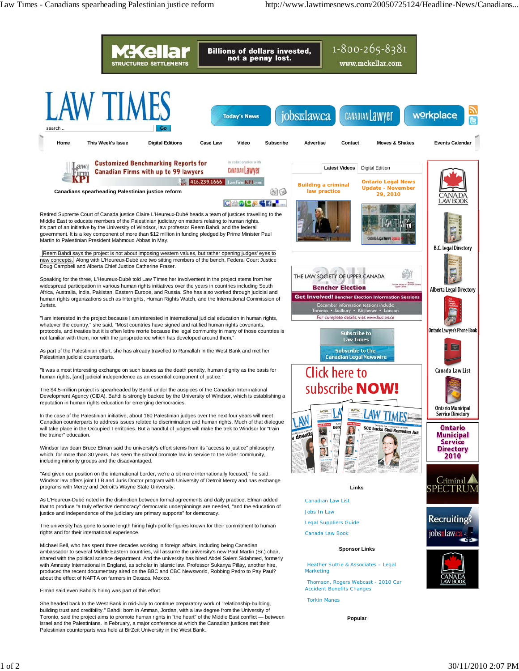